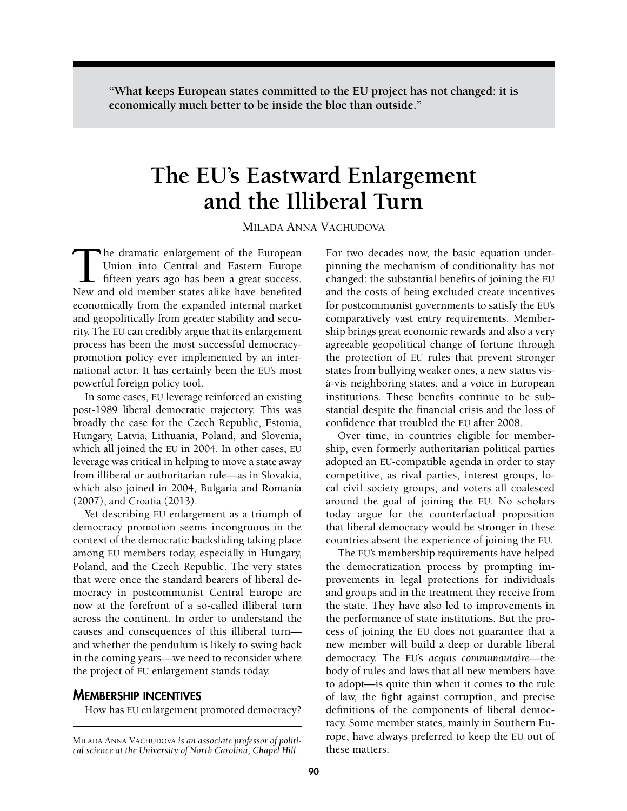**"What keeps European states committed to the EU project has not changed: it is economically much better to be inside the bloc than outside."**

# **The EU's Eastward Enlargement and the Illiberal Turn**

MILADA ANNA VACHUDOVA

The dramatic enlargement of the European Union into Central and Eastern Europe fifteen years ago has been a great success. New and old member states alike have benefited economically from the expanded internal market and geopolitically from greater stability and security. The EU can credibly argue that its enlargement process has been the most successful democracypromotion policy ever implemented by an international actor. It has certainly been the EU's most powerful foreign policy tool.

In some cases, EU leverage reinforced an existing post-1989 liberal democratic trajectory. This was broadly the case for the Czech Republic, Estonia, Hungary, Latvia, Lithuania, Poland, and Slovenia, which all joined the EU in 2004. In other cases, EU leverage was critical in helping to move a state away from illiberal or authoritarian rule—as in Slovakia, which also joined in 2004, Bulgaria and Romania (2007), and Croatia (2013).

Yet describing EU enlargement as a triumph of democracy promotion seems incongruous in the context of the democratic backsliding taking place among EU members today, especially in Hungary, Poland, and the Czech Republic. The very states that were once the standard bearers of liberal democracy in postcommunist Central Europe are now at the forefront of a so-called illiberal turn across the continent. In order to understand the causes and consequences of this illiberal turn and whether the pendulum is likely to swing back in the coming years—we need to reconsider where the project of EU enlargement stands today.

## MEMBERSHIP INCENTIVES

How has EU enlargement promoted democracy?

For two decades now, the basic equation underpinning the mechanism of conditionality has not changed: the substantial benefits of joining the EU and the costs of being excluded create incentives for postcommunist governments to satisfy the EU's comparatively vast entry requirements. Membership brings great economic rewards and also a very agreeable geopolitical change of fortune through the protection of EU rules that prevent stronger states from bullying weaker ones, a new status visà-vis neighboring states, and a voice in European institutions. These benefits continue to be substantial despite the financial crisis and the loss of confidence that troubled the EU after 2008.

Over time, in countries eligible for membership, even formerly authoritarian political parties adopted an EU-compatible agenda in order to stay competitive, as rival parties, interest groups, local civil society groups, and voters all coalesced around the goal of joining the EU. No scholars today argue for the counterfactual proposition that liberal democracy would be stronger in these countries absent the experience of joining the EU.

The EU's membership requirements have helped the democratization process by prompting improvements in legal protections for individuals and groups and in the treatment they receive from the state. They have also led to improvements in the performance of state institutions. But the process of joining the EU does not guarantee that a new member will build a deep or durable liberal democracy. The EU's *acquis communautaire*—the body of rules and laws that all new members have to adopt—is quite thin when it comes to the rule of law, the fight against corruption, and precise definitions of the components of liberal democracy. Some member states, mainly in Southern Europe, have always preferred to keep the EU out of these matters.

MILADA ANNA VACHUDOVA *is an associate professor of political science at the University of North Carolina, Chapel Hill.*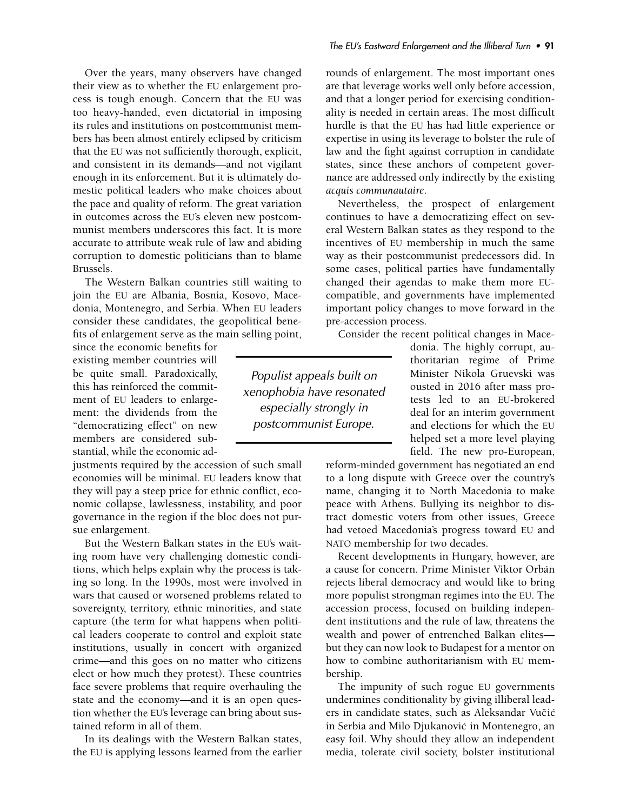Over the years, many observers have changed their view as to whether the EU enlargement process is tough enough. Concern that the EU was too heavy-handed, even dictatorial in imposing its rules and institutions on postcommunist members has been almost entirely eclipsed by criticism that the EU was not sufficiently thorough, explicit, and consistent in its demands—and not vigilant enough in its enforcement. But it is ultimately domestic political leaders who make choices about the pace and quality of reform. The great variation in outcomes across the EU's eleven new postcommunist members underscores this fact. It is more accurate to attribute weak rule of law and abiding corruption to domestic politicians than to blame Brussels.

The Western Balkan countries still waiting to join the EU are Albania, Bosnia, Kosovo, Macedonia, Montenegro, and Serbia. When EU leaders consider these candidates, the geopolitical benefits of enlargement serve as the main selling point,

since the economic benefits for existing member countries will be quite small. Paradoxically, this has reinforced the commitment of EU leaders to enlargement: the dividends from the "democratizing effect" on new members are considered substantial, while the economic ad-

justments required by the accession of such small economies will be minimal. EU leaders know that they will pay a steep price for ethnic conflict, economic collapse, lawlessness, instability, and poor governance in the region if the bloc does not pursue enlargement.

But the Western Balkan states in the EU's waiting room have very challenging domestic conditions, which helps explain why the process is taking so long. In the 1990s, most were involved in wars that caused or worsened problems related to sovereignty, territory, ethnic minorities, and state capture (the term for what happens when political leaders cooperate to control and exploit state institutions, usually in concert with organized crime—and this goes on no matter who citizens elect or how much they protest). These countries face severe problems that require overhauling the state and the economy—and it is an open question whether the EU's leverage can bring about sustained reform in all of them.

In its dealings with the Western Balkan states, the EU is applying lessons learned from the earlier rounds of enlargement. The most important ones are that leverage works well only before accession, and that a longer period for exercising conditionality is needed in certain areas. The most difficult hurdle is that the EU has had little experience or expertise in using its leverage to bolster the rule of law and the fight against corruption in candidate states, since these anchors of competent governance are addressed only indirectly by the existing *acquis communautaire*.

Nevertheless, the prospect of enlargement continues to have a democratizing effect on several Western Balkan states as they respond to the incentives of EU membership in much the same way as their postcommunist predecessors did. In some cases, political parties have fundamentally changed their agendas to make them more EUcompatible, and governments have implemented important policy changes to move forward in the pre-accession process.

Consider the recent political changes in Mace-

*Populist appeals built on xenophobia have resonated especially strongly in postcommunist Europe.*

donia. The highly corrupt, authoritarian regime of Prime Minister Nikola Gruevski was ousted in 2016 after mass protests led to an EU-brokered deal for an interim government and elections for which the EU helped set a more level playing field. The new pro-European,

reform-minded government has negotiated an end to a long dispute with Greece over the country's name, changing it to North Macedonia to make peace with Athens. Bullying its neighbor to distract domestic voters from other issues, Greece had vetoed Macedonia's progress toward EU and NATO membership for two decades.

Recent developments in Hungary, however, are a cause for concern. Prime Minister Viktor Orbán rejects liberal democracy and would like to bring more populist strongman regimes into the EU. The accession process, focused on building independent institutions and the rule of law, threatens the wealth and power of entrenched Balkan elites but they can now look to Budapest for a mentor on how to combine authoritarianism with EU membership.

The impunity of such rogue EU governments undermines conditionality by giving illiberal leaders in candidate states, such as Aleksandar Vučić in Serbia and Milo Djukanović in Montenegro, an easy foil. Why should they allow an independent media, tolerate civil society, bolster institutional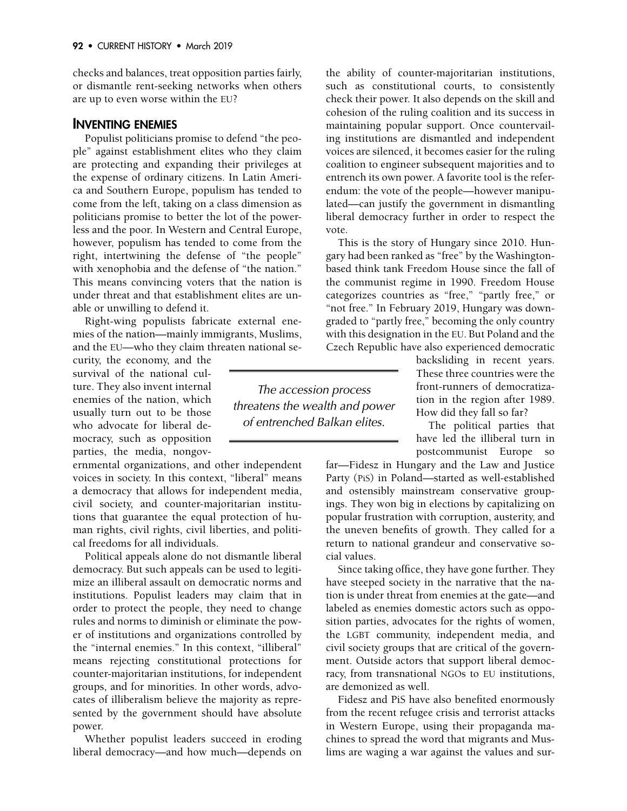checks and balances, treat opposition parties fairly, or dismantle rent-seeking networks when others are up to even worse within the EU?

#### INVENTING ENEMIES

Populist politicians promise to defend "the people" against establishment elites who they claim are protecting and expanding their privileges at the expense of ordinary citizens. In Latin America and Southern Europe, populism has tended to come from the left, taking on a class dimension as politicians promise to better the lot of the powerless and the poor. In Western and Central Europe, however, populism has tended to come from the right, intertwining the defense of "the people" with xenophobia and the defense of "the nation." This means convincing voters that the nation is under threat and that establishment elites are unable or unwilling to defend it.

Right-wing populists fabricate external enemies of the nation—mainly immigrants, Muslims, and the EU—who they claim threaten national se-

curity, the economy, and the survival of the national culture. They also invent internal enemies of the nation, which usually turn out to be those who advocate for liberal democracy, such as opposition parties, the media, nongov-

ernmental organizations, and other independent voices in society. In this context, "liberal" means a democracy that allows for independent media, civil society, and counter-majoritarian institutions that guarantee the equal protection of human rights, civil rights, civil liberties, and political freedoms for all individuals.

Political appeals alone do not dismantle liberal democracy. But such appeals can be used to legitimize an illiberal assault on democratic norms and institutions. Populist leaders may claim that in order to protect the people, they need to change rules and norms to diminish or eliminate the power of institutions and organizations controlled by the "internal enemies." In this context, "illiberal" means rejecting constitutional protections for counter-majoritarian institutions, for independent groups, and for minorities. In other words, advocates of illiberalism believe the majority as represented by the government should have absolute power.

Whether populist leaders succeed in eroding liberal democracy—and how much—depends on

the ability of counter-majoritarian institutions, such as constitutional courts, to consistently check their power. It also depends on the skill and cohesion of the ruling coalition and its success in maintaining popular support. Once countervailing institutions are dismantled and independent voices are silenced, it becomes easier for the ruling coalition to engineer subsequent majorities and to entrench its own power. A favorite tool is the referendum: the vote of the people—however manipulated—can justify the government in dismantling liberal democracy further in order to respect the vote.

This is the story of Hungary since 2010. Hungary had been ranked as "free" by the Washingtonbased think tank Freedom House since the fall of the communist regime in 1990. Freedom House categorizes countries as "free," "partly free," or "not free." In February 2019, Hungary was downgraded to "partly free," becoming the only country with this designation in the EU. But Poland and the Czech Republic have also experienced democratic

> backsliding in recent years. These three countries were the front-runners of democratization in the region after 1989. How did they fall so far?

The political parties that have led the illiberal turn in postcommunist Europe so

far—Fidesz in Hungary and the Law and Justice Party (PiS) in Poland—started as well-established and ostensibly mainstream conservative groupings. They won big in elections by capitalizing on popular frustration with corruption, austerity, and the uneven benefits of growth. They called for a return to national grandeur and conservative social values.

Since taking office, they have gone further. They have steeped society in the narrative that the nation is under threat from enemies at the gate—and labeled as enemies domestic actors such as opposition parties, advocates for the rights of women, the LGBT community, independent media, and civil society groups that are critical of the government. Outside actors that support liberal democracy, from transnational NGOs to EU institutions, are demonized as well.

Fidesz and PiS have also benefited enormously from the recent refugee crisis and terrorist attacks in Western Europe, using their propaganda machines to spread the word that migrants and Muslims are waging a war against the values and sur-

*The accession process threatens the wealth and power of entrenched Balkan elites.*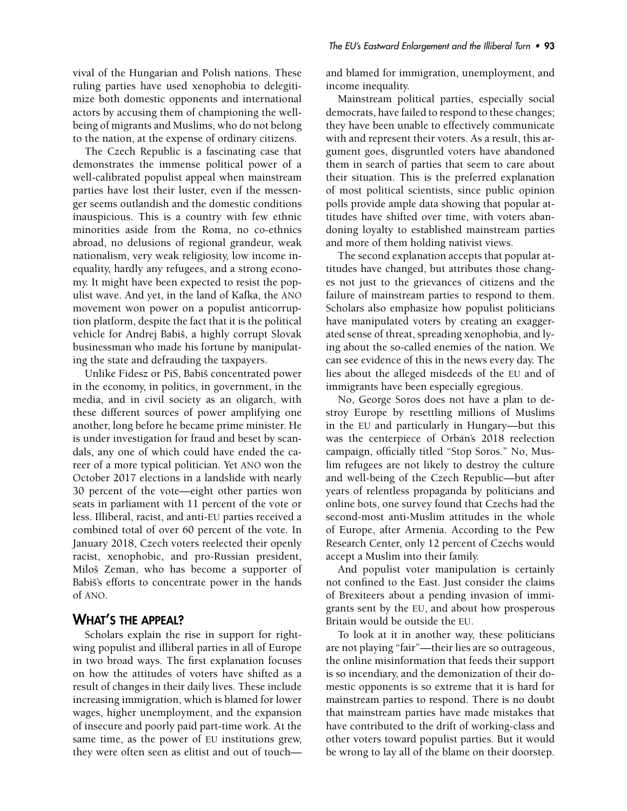vival of the Hungarian and Polish nations. These ruling parties have used xenophobia to delegitimize both domestic opponents and international actors by accusing them of championing the wellbeing of migrants and Muslims, who do not belong to the nation, at the expense of ordinary citizens.

The Czech Republic is a fascinating case that demonstrates the immense political power of a well-calibrated populist appeal when mainstream parties have lost their luster, even if the messenger seems outlandish and the domestic conditions inauspicious. This is a country with few ethnic minorities aside from the Roma, no co-ethnics abroad, no delusions of regional grandeur, weak nationalism, very weak religiosity, low income inequality, hardly any refugees, and a strong economy. It might have been expected to resist the populist wave. And yet, in the land of Kafka, the ANO movement won power on a populist anticorruption platform, despite the fact that it is the political vehicle for Andrej Babiš, a highly corrupt Slovak businessman who made his fortune by manipulating the state and defrauding the taxpayers.

Unlike Fidesz or PiS, Babiš concentrated power in the economy, in politics, in government, in the media, and in civil society as an oligarch, with these different sources of power amplifying one another, long before he became prime minister. He is under investigation for fraud and beset by scandals, any one of which could have ended the career of a more typical politician. Yet ANO won the October 2017 elections in a landslide with nearly 30 percent of the vote—eight other parties won seats in parliament with 11 percent of the vote or less. Illiberal, racist, and anti-EU parties received a combined total of over 60 percent of the vote. In January 2018, Czech voters reelected their openly racist, xenophobic, and pro-Russian president, Miloš Zeman, who has become a supporter of Babiš's efforts to concentrate power in the hands of ANO.

## WHAT'S THE APPEAL?

Scholars explain the rise in support for rightwing populist and illiberal parties in all of Europe in two broad ways. The first explanation focuses on how the attitudes of voters have shifted as a result of changes in their daily lives. These include increasing immigration, which is blamed for lower wages, higher unemployment, and the expansion of insecure and poorly paid part-time work. At the same time, as the power of EU institutions grew, they were often seen as elitist and out of touchand blamed for immigration, unemployment, and income inequality.

Mainstream political parties, especially social democrats, have failed to respond to these changes; they have been unable to effectively communicate with and represent their voters. As a result, this argument goes, disgruntled voters have abandoned them in search of parties that seem to care about their situation. This is the preferred explanation of most political scientists, since public opinion polls provide ample data showing that popular attitudes have shifted over time, with voters abandoning loyalty to established mainstream parties and more of them holding nativist views.

The second explanation accepts that popular attitudes have changed, but attributes those changes not just to the grievances of citizens and the failure of mainstream parties to respond to them. Scholars also emphasize how populist politicians have manipulated voters by creating an exaggerated sense of threat, spreading xenophobia, and lying about the so-called enemies of the nation. We can see evidence of this in the news every day. The lies about the alleged misdeeds of the EU and of immigrants have been especially egregious.

No, George Soros does not have a plan to destroy Europe by resettling millions of Muslims in the EU and particularly in Hungary—but this was the centerpiece of Orbán's 2018 reelection campaign, officially titled "Stop Soros." No, Muslim refugees are not likely to destroy the culture and well-being of the Czech Republic—but after years of relentless propaganda by politicians and online bots, one survey found that Czechs had the second-most anti-Muslim attitudes in the whole of Europe, after Armenia. According to the Pew Research Center, only 12 percent of Czechs would accept a Muslim into their family.

And populist voter manipulation is certainly not confined to the East. Just consider the claims of Brexiteers about a pending invasion of immigrants sent by the EU, and about how prosperous Britain would be outside the EU.

To look at it in another way, these politicians are not playing "fair"—their lies are so outrageous, the online misinformation that feeds their support is so incendiary, and the demonization of their domestic opponents is so extreme that it is hard for mainstream parties to respond. There is no doubt that mainstream parties have made mistakes that have contributed to the drift of working-class and other voters toward populist parties. But it would be wrong to lay all of the blame on their doorstep.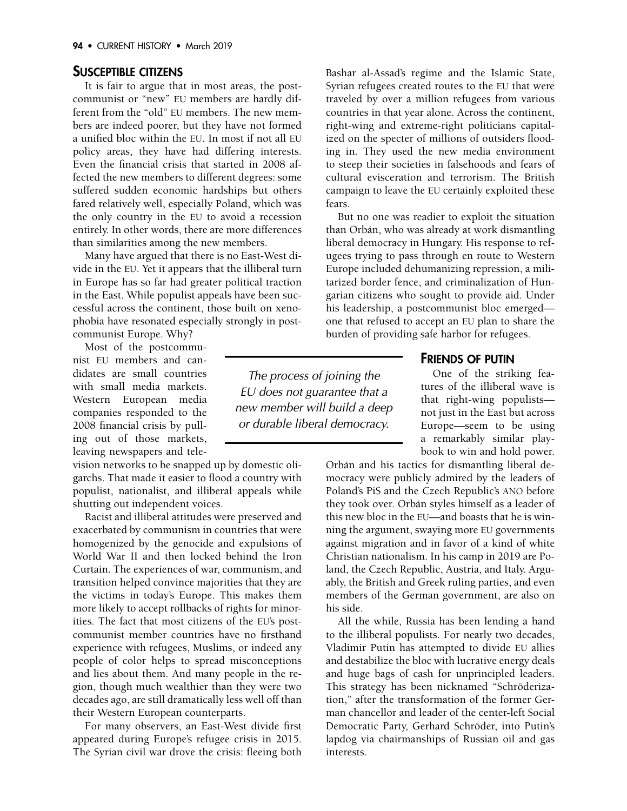### SUSCEPTIBLE CITIZENS

It is fair to argue that in most areas, the postcommunist or "new" EU members are hardly different from the "old" EU members. The new members are indeed poorer, but they have not formed a unified bloc within the EU. In most if not all EU policy areas, they have had differing interests. Even the financial crisis that started in 2008 affected the new members to different degrees: some suffered sudden economic hardships but others fared relatively well, especially Poland, which was the only country in the EU to avoid a recession entirely. In other words, there are more differences than similarities among the new members.

Many have argued that there is no East-West divide in the EU. Yet it appears that the illiberal turn in Europe has so far had greater political traction in the East. While populist appeals have been successful across the continent, those built on xenophobia have resonated especially strongly in postcommunist Europe. Why?

Most of the postcommunist EU members and candidates are small countries with small media markets. Western European media companies responded to the 2008 financial crisis by pulling out of those markets, leaving newspapers and tele-

vision networks to be snapped up by domestic oligarchs. That made it easier to flood a country with populist, nationalist, and illiberal appeals while shutting out independent voices.

Racist and illiberal attitudes were preserved and exacerbated by communism in countries that were homogenized by the genocide and expulsions of World War II and then locked behind the Iron Curtain. The experiences of war, communism, and transition helped convince majorities that they are the victims in today's Europe. This makes them more likely to accept rollbacks of rights for minorities. The fact that most citizens of the EU's postcommunist member countries have no firsthand experience with refugees, Muslims, or indeed any people of color helps to spread misconceptions and lies about them. And many people in the region, though much wealthier than they were two decades ago, are still dramatically less well off than their Western European counterparts.

For many observers, an East-West divide first appeared during Europe's refugee crisis in 2015. The Syrian civil war drove the crisis: fleeing both Bashar al-Assad's regime and the Islamic State, Syrian refugees created routes to the EU that were traveled by over a million refugees from various countries in that year alone. Across the continent, right-wing and extreme-right politicians capitalized on the specter of millions of outsiders flooding in. They used the new media environment to steep their societies in falsehoods and fears of cultural evisceration and terrorism. The British campaign to leave the EU certainly exploited these fears.

But no one was readier to exploit the situation than Orbán, who was already at work dismantling liberal democracy in Hungary. His response to refugees trying to pass through en route to Western Europe included dehumanizing repression, a militarized border fence, and criminalization of Hungarian citizens who sought to provide aid. Under his leadership, a postcommunist bloc emerged one that refused to accept an EU plan to share the burden of providing safe harbor for refugees.

## FRIENDS OF PUTIN

One of the striking features of the illiberal wave is that right-wing populists not just in the East but across Europe—seem to be using a remarkably similar playbook to win and hold power.

Orbán and his tactics for dismantling liberal democracy were publicly admired by the leaders of Poland's PiS and the Czech Republic's ANO before they took over. Orbán styles himself as a leader of this new bloc in the EU—and boasts that he is winning the argument, swaying more EU governments against migration and in favor of a kind of white Christian nationalism. In his camp in 2019 are Poland, the Czech Republic, Austria, and Italy. Arguably, the British and Greek ruling parties, and even members of the German government, are also on his side.

All the while, Russia has been lending a hand to the illiberal populists. For nearly two decades, Vladimir Putin has attempted to divide EU allies and destabilize the bloc with lucrative energy deals and huge bags of cash for unprincipled leaders. This strategy has been nicknamed "Schröderization," after the transformation of the former German chancellor and leader of the center-left Social Democratic Party, Gerhard Schröder, into Putin's lapdog via chairmanships of Russian oil and gas interests.

*The process of joining the EU does not guarantee that a new member will build a deep or durable liberal democracy.*